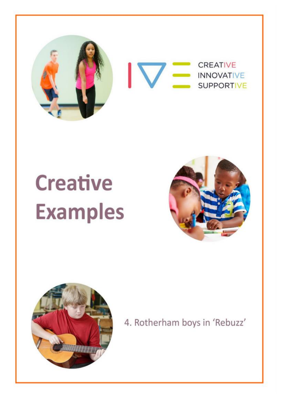

# **Creative Examples**





4. Rotherham boys in 'Rebuzz'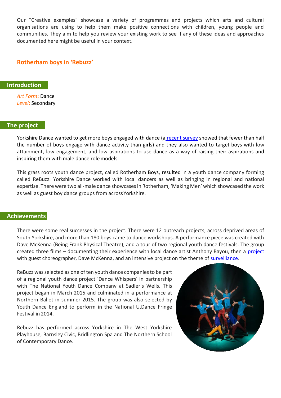Our "Creative examples" showcase a variety of programmes and projects which arts and cultural organisations are using to help them make positive connections with children, young people and communities. They aim to help you review your existing work to see if any of these ideas and approaches documented here might be useful in your context.

# **Rotherham boys in 'Rebuzz'**

### **Introduction**

*Art Form***:** Dance *Level*: Secondary

### **The project**

Yorkshire Dance wanted to get more boys engaged with dance (a recent [survey](https://www.gov.uk/government/statistics/taking-part-201415-annual-child-release) showed that fewer than half the number of boys engage with dance activity than girls) and they also wanted to target boys with low attainment, low engagement, and low aspirations to use dance as a way of raising their aspirations and inspiring them with male dance rolemodels.

This grass roots youth dance project, called Rotherham Boys, resulted in a youth dance company forming called ReBuzz. Yorkshire Dance worked with local dancers as well as bringing in regional and national expertise. There were two all-male dance showcasesin Rotherham, 'Making Men' which showcased the work as well as guest boy dance groups from acrossYorkshire.

### **Achievements**

There were some real successes in the project. There were 12 outreach projects, across deprived areas of South Yorkshire, and more than 180 boys came to dance workshops. A performance piece was created with Dave McKenna (Being Frank Physical Theatre), and a tour of two regional youth dance festivals. The group created three films – documenting their experience with local dance artist Anthony Bayou, then a [project](https://www.youtube.com/watch?v=oOfnvOD10FE) with guest choreographer, Dave McKenna, and an intensive project on the theme of [survelliance.](https://www.youtube.com/watch?v=_5OQf3QZ22M)

ReBuzz was selected as one of ten youth dance companies to be part of a regional youth dance project 'Dance Whispers' in partnership with The National Youth Dance Company at Sadler's Wells. This project began in March 2015 and culminated in a performance at Northern Ballet in summer 2015. The group was also selected by Youth Dance England to perform in the National U.Dance Fringe Festival in 2014.

Rebuzz has performed across Yorkshire in The West Yorkshire Playhouse, Barnsley Civic, Bridlington Spa and The Northern School of Contemporary Dance.

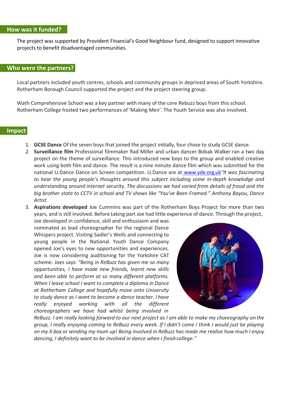### **How was it funded?**

The project was supported by Provident Financial's Good Neighbour fund, designed to support innovative projects to benefit disadvantaged communities.

# **Who were the partners?**

Local partners included youth centres, schools and community groups in deprived areas of South Yorkshire. Rotherham Borough Council supported the project and the project steering group.

Wath Comprehensive School was a key partner with many of the core Rebuzz boys from this school. Rotherham College hosted two performances of 'Making Men'. The Youth Service was also involved.

# **Impact**

- 1. **GCSE Dance** Of the seven boys that joined the project initially, four chose to study GCSE dance.
- *2.* **Surveillance film** Professional filmmaker Rad Miller and urban dancer Bobak Walker ran a two day project on the theme of surveillance. This introduced new boys to the group and enabled creative work using both film and dance. The result is a nine minute dance film which was submitted for the national U.Dance Dance on Screen competition. U.Dance are at [www.yde.org.uk](http://www.yde.org.uk/)*"It was fascinating to hear the young people's thoughts around this subject including some in-depth knowledge and understanding around internet security. The discussions we had varied from details of fraud and the big brother state to CCTV in school and TV shows like "You've Been Framed." Anthony Bayou, Dance Artist.*
- 3. **Aspirations developed** Joe Cummins was part of the Rotherham Boys Project for more than two years, and isstill involved. Before taking part Joe had little experience of dance. Through the project,

Joe developed in confidence, skill and enthusiasm and was nominated as lead choreographer for the regional Dance Whispers project. Visiting Sadler's Wells and connecting to young people in the National Youth Dance Company opened Joe's eyes to new opportunities and experiences. Joe is now considering auditioning for the Yorkshire CAT scheme. Joes says: *"Being in ReBuzz has given me so many opportunities, I have made new friends, learnt new skills and been able to perform at so many different platforms. When I leave school I want to complete a diploma in Dance at Rotherham College and hopefully move onto University to study dance as I want to become a dance teacher. I have really enjoyed working with all the different choreographers we have had whilst being involved in*



*ReBuzz. I am really looking forward to our next project as I am able to make my choreography on the group, I really enjoying coming to ReBuzz every week. If I didn't come I think I would just be playing*  on my X-box or winding my mum up! Being involved in ReBuzz has made me realise how much I enjoy *dancing, I definitely want to be involved in dance when I finishcollege."*